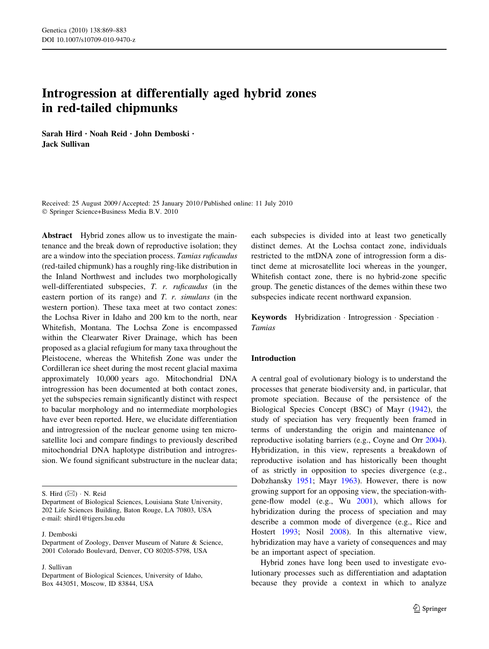# Introgression at differentially aged hybrid zones in red-tailed chipmunks

Sarah Hird • Noah Reid • John Demboski • Jack Sullivan

Received: 25 August 2009 / Accepted: 25 January 2010 / Published online: 11 July 2010 - Springer Science+Business Media B.V. 2010

Abstract Hybrid zones allow us to investigate the maintenance and the break down of reproductive isolation; they are a window into the speciation process. Tamias ruficaudus (red-tailed chipmunk) has a roughly ring-like distribution in the Inland Northwest and includes two morphologically well-differentiated subspecies, T. r. ruficaudus (in the eastern portion of its range) and  $T$ .  $r$ . simulans (in the western portion). These taxa meet at two contact zones: the Lochsa River in Idaho and 200 km to the north, near Whitefish, Montana. The Lochsa Zone is encompassed within the Clearwater River Drainage, which has been proposed as a glacial refugium for many taxa throughout the Pleistocene, whereas the Whitefish Zone was under the Cordilleran ice sheet during the most recent glacial maxima approximately 10,000 years ago. Mitochondrial DNA introgression has been documented at both contact zones, yet the subspecies remain significantly distinct with respect to bacular morphology and no intermediate morphologies have ever been reported. Here, we elucidate differentiation and introgression of the nuclear genome using ten microsatellite loci and compare findings to previously described mitochondrial DNA haplotype distribution and introgression. We found significant substructure in the nuclear data;

J. Sullivan

each subspecies is divided into at least two genetically distinct demes. At the Lochsa contact zone, individuals restricted to the mtDNA zone of introgression form a distinct deme at microsatellite loci whereas in the younger, Whitefish contact zone, there is no hybrid-zone specific group. The genetic distances of the demes within these two subspecies indicate recent northward expansion.

Keywords Hybridization · Introgression · Speciation · Tamias

## Introduction

A central goal of evolutionary biology is to understand the processes that generate biodiversity and, in particular, that promote speciation. Because of the persistence of the Biological Species Concept (BSC) of Mayr [\(1942](#page-14-0)), the study of speciation has very frequently been framed in terms of understanding the origin and maintenance of reproductive isolating barriers (e.g., Coyne and Orr [2004](#page-13-0)). Hybridization, in this view, represents a breakdown of reproductive isolation and has historically been thought of as strictly in opposition to species divergence (e.g., Dobzhansky [1951](#page-13-0); Mayr [1963](#page-14-0)). However, there is now growing support for an opposing view, the speciation-withgene-flow model (e.g., Wu [2001\)](#page-14-0), which allows for hybridization during the process of speciation and may describe a common mode of divergence (e.g., Rice and Hostert [1993;](#page-14-0) Nosil [2008\)](#page-14-0). In this alternative view, hybridization may have a variety of consequences and may be an important aspect of speciation.

Hybrid zones have long been used to investigate evolutionary processes such as differentiation and adaptation because they provide a context in which to analyze

S. Hird  $(\boxtimes) \cdot$  N. Reid

Department of Biological Sciences, Louisiana State University, 202 Life Sciences Building, Baton Rouge, LA 70803, USA e-mail: shird1@tigers.lsu.edu

J. Demboski

Department of Zoology, Denver Museum of Nature & Science, 2001 Colorado Boulevard, Denver, CO 80205-5798, USA

Department of Biological Sciences, University of Idaho, Box 443051, Moscow, ID 83844, USA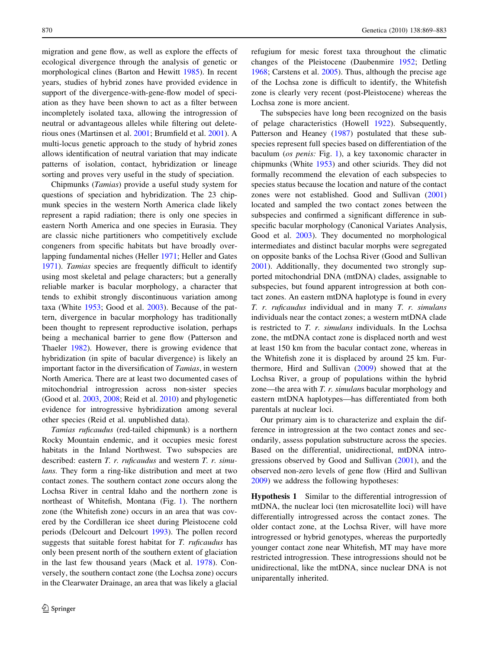migration and gene flow, as well as explore the effects of ecological divergence through the analysis of genetic or morphological clines (Barton and Hewitt [1985](#page-13-0)). In recent years, studies of hybrid zones have provided evidence in support of the divergence-with-gene-flow model of speciation as they have been shown to act as a filter between incompletely isolated taxa, allowing the introgression of neutral or advantageous alleles while filtering out deleterious ones (Martinsen et al. [2001;](#page-14-0) Brumfield et al. [2001\)](#page-13-0). A multi-locus genetic approach to the study of hybrid zones allows identification of neutral variation that may indicate patterns of isolation, contact, hybridization or lineage sorting and proves very useful in the study of speciation.

Chipmunks (Tamias) provide a useful study system for questions of speciation and hybridization. The 23 chipmunk species in the western North America clade likely represent a rapid radiation; there is only one species in eastern North America and one species in Eurasia. They are classic niche partitioners who competitively exclude congeners from specific habitats but have broadly overlapping fundamental niches (Heller [1971;](#page-14-0) Heller and Gates [1971\)](#page-14-0). Tamias species are frequently difficult to identify using most skeletal and pelage characters; but a generally reliable marker is bacular morphology, a character that tends to exhibit strongly discontinuous variation among taxa (White [1953;](#page-14-0) Good et al. [2003](#page-13-0)). Because of the pattern, divergence in bacular morphology has traditionally been thought to represent reproductive isolation, perhaps being a mechanical barrier to gene flow (Patterson and Thaeler [1982](#page-14-0)). However, there is growing evidence that hybridization (in spite of bacular divergence) is likely an important factor in the diversification of Tamias, in western North America. There are at least two documented cases of mitochondrial introgression across non-sister species (Good et al. [2003,](#page-13-0) [2008;](#page-13-0) Reid et al. [2010\)](#page-14-0) and phylogenetic evidence for introgressive hybridization among several other species (Reid et al. unpublished data).

Tamias ruficaudus (red-tailed chipmunk) is a northern Rocky Mountain endemic, and it occupies mesic forest habitats in the Inland Northwest. Two subspecies are described: eastern T. r. ruficaudus and western T. r. simulans. They form a ring-like distribution and meet at two contact zones. The southern contact zone occurs along the Lochsa River in central Idaho and the northern zone is northeast of Whitefish, Montana (Fig. [1\)](#page-2-0). The northern zone (the Whitefish zone) occurs in an area that was covered by the Cordilleran ice sheet during Pleistocene cold periods (Delcourt and Delcourt [1993\)](#page-13-0). The pollen record suggests that suitable forest habitat for T. ruficaudus has only been present north of the southern extent of glaciation in the last few thousand years (Mack et al. [1978](#page-14-0)). Conversely, the southern contact zone (the Lochsa zone) occurs in the Clearwater Drainage, an area that was likely a glacial refugium for mesic forest taxa throughout the climatic changes of the Pleistocene (Daubenmire [1952;](#page-13-0) Detling [1968](#page-13-0); Carstens et al. [2005\)](#page-13-0). Thus, although the precise age of the Lochsa zone is difficult to identify, the Whitefish zone is clearly very recent (post-Pleistocene) whereas the Lochsa zone is more ancient.

The subspecies have long been recognized on the basis of pelage characteristics (Howell [1922\)](#page-14-0). Subsequently, Patterson and Heaney ([1987\)](#page-14-0) postulated that these subspecies represent full species based on differentiation of the baculum (os penis: Fig. [1](#page-2-0)), a key taxonomic character in chipmunks (White [1953\)](#page-14-0) and other sciurids. They did not formally recommend the elevation of each subspecies to species status because the location and nature of the contact zones were not established. Good and Sullivan ([2001\)](#page-13-0) located and sampled the two contact zones between the subspecies and confirmed a significant difference in subspecific bacular morphology (Canonical Variates Analysis, Good et al. [2003](#page-13-0)). They documented no morphological intermediates and distinct bacular morphs were segregated on opposite banks of the Lochsa River (Good and Sullivan [2001](#page-13-0)). Additionally, they documented two strongly supported mitochondrial DNA (mtDNA) clades, assignable to subspecies, but found apparent introgression at both contact zones. An eastern mtDNA haplotype is found in every T. r. ruficaudus individual and in many T. r. simulans individuals near the contact zones; a western mtDNA clade is restricted to T. r. simulans individuals. In the Lochsa zone, the mtDNA contact zone is displaced north and west at least 150 km from the bacular contact zone, whereas in the Whitefish zone it is displaced by around 25 km. Furthermore, Hird and Sullivan [\(2009](#page-14-0)) showed that at the Lochsa River, a group of populations within the hybrid zone—the area with  $T$ .  $r$ . simulans bacular morphology and eastern mtDNA haplotypes—has differentiated from both parentals at nuclear loci.

Our primary aim is to characterize and explain the difference in introgression at the two contact zones and secondarily, assess population substructure across the species. Based on the differential, unidirectional, mtDNA introgressions observed by Good and Sullivan [\(2001](#page-13-0)), and the observed non-zero levels of gene flow (Hird and Sullivan [2009](#page-14-0)) we address the following hypotheses:

Hypothesis 1 Similar to the differential introgression of mtDNA, the nuclear loci (ten microsatellite loci) will have differentially introgressed across the contact zones. The older contact zone, at the Lochsa River, will have more introgressed or hybrid genotypes, whereas the purportedly younger contact zone near Whitefish, MT may have more restricted introgression. These introgressions should not be unidirectional, like the mtDNA, since nuclear DNA is not uniparentally inherited.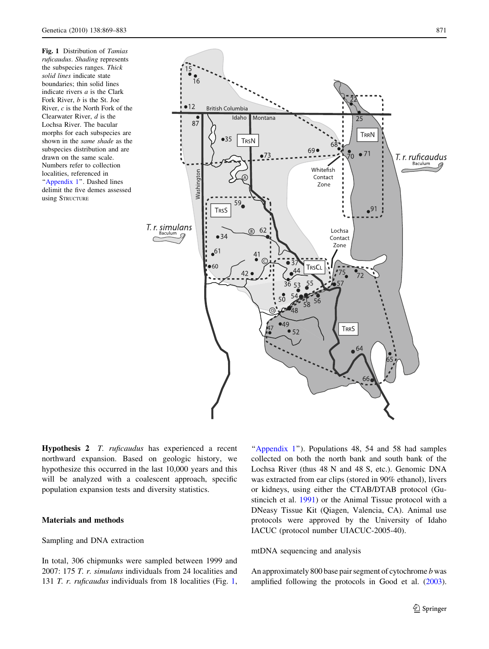<span id="page-2-0"></span>Fig. 1 Distribution of Tamias ruficaudus. Shading represents the subspecies ranges. Thick solid lines indicate state boundaries; thin solid lines indicate rivers a is the Clark Fork River, b is the St. Joe River, c is the North Fork of the Clearwater River, d is the Lochsa River. The bacular morphs for each subspecies are shown in the same shade as the subspecies distribution and are drawn on the same scale. Numbers refer to collection localities, referenced in "[Appendix 1](#page-12-0)". Dashed lines delimit the five demes assessed using STRUCTURE



Hypothesis 2 T. ruficaudus has experienced a recent northward expansion. Based on geologic history, we hypothesize this occurred in the last 10,000 years and this will be analyzed with a coalescent approach, specific population expansion tests and diversity statistics.

# Materials and methods

# Sampling and DNA extraction

In total, 306 chipmunks were sampled between 1999 and 2007: 175 T. r. simulans individuals from 24 localities and 131 T. r. ruficaudus individuals from 18 localities (Fig. 1,

''[Appendix 1'](#page-12-0)'). Populations 48, 54 and 58 had samples collected on both the north bank and south bank of the Lochsa River (thus 48 N and 48 S, etc.). Genomic DNA was extracted from ear clips (stored in 90% ethanol), livers or kidneys, using either the CTAB/DTAB protocol (Gustincich et al. [1991\)](#page-14-0) or the Animal Tissue protocol with a DNeasy Tissue Kit (Qiagen, Valencia, CA). Animal use protocols were approved by the University of Idaho IACUC (protocol number UIACUC-2005-40).

## mtDNA sequencing and analysis

An approximately 800 base pair segment of cytochrome b was amplified following the protocols in Good et al. [\(2003\)](#page-13-0).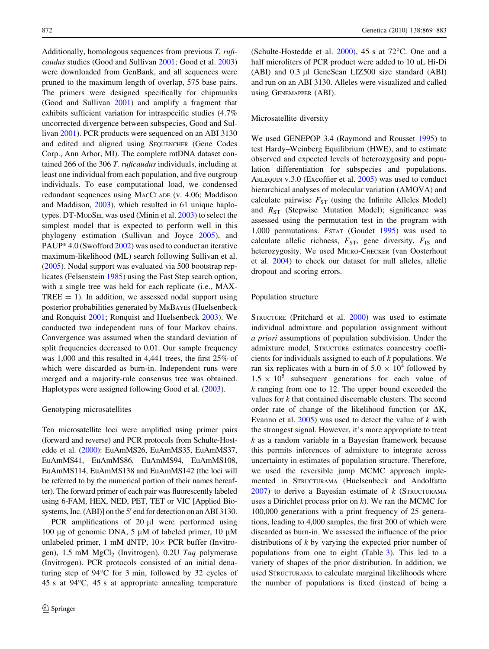Additionally, homologous sequences from previous T. ruficaudus studies (Good and Sullivan [2001](#page-13-0); Good et al. [2003\)](#page-13-0) were downloaded from GenBank, and all sequences were pruned to the maximum length of overlap, 575 base pairs. The primers were designed specifically for chipmunks (Good and Sullivan [2001](#page-13-0)) and amplify a fragment that exhibits sufficient variation for intraspecific studies (4.7% uncorrected divergence between subspecies, Good and Sullivan [2001](#page-13-0)). PCR products were sequenced on an ABI 3130 and edited and aligned using SEQUENCHER (Gene Codes Corp., Ann Arbor, MI). The complete mtDNA dataset contained 266 of the 306 T. ruficaudus individuals, including at least one individual from each population, and five outgroup individuals. To ease computational load, we condensed redundant sequences using MACCLADE (v. 4.06; Maddison and Maddison, [2003](#page-14-0)), which resulted in 61 unique haplotypes. DT-MODSEL was used (Minin et al. [2003\)](#page-14-0) to select the simplest model that is expected to perform well in this phylogeny estimation (Sullivan and Joyce [2005](#page-14-0)), and PAUP\* 4.0 (Swofford [2002\)](#page-14-0) was used to conduct an iterative maximum-likelihood (ML) search following Sullivan et al. [\(2005](#page-14-0)). Nodal support was evaluated via 500 bootstrap replicates (Felsenstein [1985\)](#page-13-0) using the Fast Step search option, with a single tree was held for each replicate (i.e., MAX- $TREE = 1$ ). In addition, we assessed nodal support using posterior probabilities generated by MRBAYES (Huelsenbeck and Ronquist [2001](#page-14-0); Ronquist and Huelsenbeck [2003](#page-14-0)). We conducted two independent runs of four Markov chains. Convergence was assumed when the standard deviation of split frequencies decreased to 0.01. Our sample frequency was 1,000 and this resulted in 4,441 trees, the first 25% of which were discarded as burn-in. Independent runs were merged and a majority-rule consensus tree was obtained. Haplotypes were assigned following Good et al. [\(2003](#page-13-0)).

### Genotyping microsatellites

Ten microsatellite loci were amplified using primer pairs (forward and reverse) and PCR protocols from Schulte-Hostedde et al. [\(2000\)](#page-14-0): EuAmMS26, EuAmMS35, EuAmMS37, EuAmMS41, EuAmMS86, EuAmMS94, EuAmMS108, EuAmMS114, EuAmMS138 and EuAmMS142 (the loci will be referred to by the numerical portion of their names hereafter). The forward primer of each pair was fluorescently labeled using 6-FAM, HEX, NED, PET, TET or VIC [Applied Biosystems, Inc.  $(ABI)$ ] on the 5<sup> $\prime$ </sup> end for detection on an ABI 3130.

PCR amplifications of  $20 \mu l$  were performed using 100 µg of genomic DNA, 5 µM of labeled primer, 10 µM unlabeled primer, 1 mM dNTP,  $10 \times PCR$  buffer (Invitrogen), 1.5 mM  $MgCl<sub>2</sub>$  (Invitrogen), 0.2U Taq polymerase (Invitrogen). PCR protocols consisted of an initial denaturing step of  $94^{\circ}$ C for 3 min, followed by 32 cycles of 45 s at  $94^{\circ}$ C, 45 s at appropriate annealing temperature (Schulte-Hostedde et al.  $2000$ ), 45 s at 72 $^{\circ}$ C. One and a half microliters of PCR product were added to 10 uL Hi-Di (ABI) and 0.3 µl GeneScan LIZ500 size standard (ABI) and run on an ABI 3130. Alleles were visualized and called using GENEMAPPER (ABI).

## Microsatellite diversity

We used GENEPOP 3.4 (Raymond and Rousset [1995](#page-14-0)) to test Hardy–Weinberg Equilibrium (HWE), and to estimate observed and expected levels of heterozygosity and population differentiation for subspecies and populations. ARLEQUIN v.3.0 (Excoffier et al. [2005\)](#page-13-0) was used to conduct hierarchical analyses of molecular variation (AMOVA) and calculate pairwise  $F_{ST}$  (using the Infinite Alleles Model) and  $R_{ST}$  (Stepwise Mutation Model); significance was assessed using the permutation test in the program with 1,000 permutations. FSTAT (Goudet [1995](#page-14-0)) was used to calculate allelic richness,  $F_{ST}$ , gene diversity,  $F_{IS}$  and heterozygosity. We used MICRO-CHECKER (van Oosterhout et al. [2004](#page-14-0)) to check our dataset for null alleles, allelic dropout and scoring errors.

### Population structure

STRUCTURE (Pritchard et al. [2000\)](#page-14-0) was used to estimate individual admixture and population assignment without a priori assumptions of population subdivision. Under the admixture model, STRUCTURE estimates coancestry coefficients for individuals assigned to each of  $k$  populations. We ran six replicates with a burn-in of  $5.0 \times 10^4$  followed by  $1.5 \times 10^5$  subsequent generations for each value of  $k$  ranging from one to 12. The upper bound exceeded the values for k that contained discernable clusters. The second order rate of change of the likelihood function (or  $\Delta K$ , Evanno et al.  $2005$ ) was used to detect the value of k with the strongest signal. However, it's more appropriate to treat k as a random variable in a Bayesian framework because this permits inferences of admixture to integrate across uncertainty in estimates of population structure. Therefore, we used the reversible jump MCMC approach implemented in STRUCTURAMA (Huelsenbeck and Andolfatto  $2007$ ) to derive a Bayesian estimate of  $k$  (STRUCTURAMA uses a Dirichlet process prior on  $k$ ). We ran the MCMC for 100,000 generations with a print frequency of 25 generations, leading to 4,000 samples, the first 200 of which were discarded as burn-in. We assessed the influence of the prior distributions of k by varying the expected prior number of populations from one to eight (Table [3](#page-6-0)). This led to a variety of shapes of the prior distribution. In addition, we used STRUCTURAMA to calculate marginal likelihoods where the number of populations is fixed (instead of being a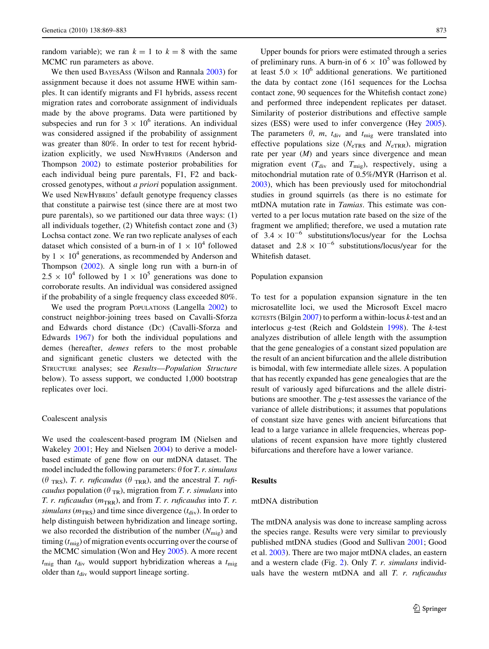random variable); we ran  $k = 1$  to  $k = 8$  with the same MCMC run parameters as above.

We then used BAYESASS (Wilson and Rannala [2003](#page-14-0)) for assignment because it does not assume HWE within samples. It can identify migrants and F1 hybrids, assess recent migration rates and corroborate assignment of individuals made by the above programs. Data were partitioned by subspecies and run for  $3 \times 10^6$  iterations. An individual was considered assigned if the probability of assignment was greater than 80%. In order to test for recent hybridization explicitly, we used NEWHYBRIDS (Anderson and Thompson [2002](#page-13-0)) to estimate posterior probabilities for each individual being pure parentals, F1, F2 and backcrossed genotypes, without a priori population assignment. We used NEWHYBRIDS' default genotype frequency classes that constitute a pairwise test (since there are at most two pure parentals), so we partitioned our data three ways: (1) all individuals together, (2) Whitefish contact zone and (3) Lochsa contact zone. We ran two replicate analyses of each dataset which consisted of a burn-in of  $1 \times 10^4$  followed by  $1 \times 10^4$  generations, as recommended by Anderson and Thompson ([2002\)](#page-13-0). A single long run with a burn-in of  $2.5 \times 10^4$  followed by  $1 \times 10^5$  generations was done to corroborate results. An individual was considered assigned if the probability of a single frequency class exceeded 80%.

We used the program POPULATIONS (Langella [2002\)](#page-14-0) to construct neighbor-joining trees based on Cavalli-Sforza and Edwards chord distance (DC) (Cavalli-Sforza and Edwards [1967](#page-13-0)) for both the individual populations and demes (hereafter, demes refers to the most probable and significant genetic clusters we detected with the STRUCTURE analyses; see Results—Population Structure below). To assess support, we conducted 1,000 bootstrap replicates over loci.

#### Coalescent analysis

We used the coalescent-based program IM (Nielsen and Wakeley [2001;](#page-14-0) Hey and Nielsen [2004](#page-14-0)) to derive a modelbased estimate of gene flow on our mtDNA dataset. The model included the following parameters:  $\theta$  for *T. r. simulans* ( $\theta$ <sub>TRS</sub>), *T. r. ruficaudus* ( $\theta$ <sub>TRR</sub>), and the ancestral *T. rufi*caudus population ( $\theta_{TR}$ ), migration from T. r. simulans into T. r. ruficaudus ( $m_{\text{TRR}}$ ), and from T. r. ruficaudus into T. r. simulans ( $m_{\text{TRS}}$ ) and time since divergence ( $t_{\text{div}}$ ). In order to help distinguish between hybridization and lineage sorting, we also recorded the distribution of the number  $(N_{\text{mig}})$  and timing  $(t_{\text{mig}})$  of migration events occurring over the course of the MCMC simulation (Won and Hey [2005](#page-14-0)). A more recent  $t_{\text{mig}}$  than  $t_{\text{div}}$  would support hybridization whereas a  $t_{\text{mig}}$ older than  $t_{div}$  would support lineage sorting.

Upper bounds for priors were estimated through a series of preliminary runs. A burn-in of  $6 \times 10^5$  was followed by at least  $5.0 \times 10^6$  additional generations. We partitioned the data by contact zone (161 sequences for the Lochsa contact zone, 90 sequences for the Whitefish contact zone) and performed three independent replicates per dataset. Similarity of posterior distributions and effective sample sizes (ESS) were used to infer convergence (Hey [2005](#page-14-0)). The parameters  $\theta$ , m,  $t_{\text{div}}$  and  $t_{\text{mix}}$  were translated into effective populations size ( $N_{\text{cTRS}}$  and  $N_{\text{cTRR}}$ ), migration rate per year  $(M)$  and years since divergence and mean migration event  $(T_{div}$  and  $T_{mig}$ ), respectively, using a mitochondrial mutation rate of 0.5%/MYR (Harrison et al. [2003](#page-14-0)), which has been previously used for mitochondrial studies in ground squirrels (as there is no estimate for mtDNA mutation rate in Tamias. This estimate was converted to a per locus mutation rate based on the size of the fragment we amplified; therefore, we used a mutation rate of  $3.4 \times 10^{-6}$  substitutions/locus/year for the Lochsa dataset and  $2.8 \times 10^{-6}$  substitutions/locus/year for the Whitefish dataset.

## Population expansion

To test for a population expansion signature in the ten microsatellite loci, we used the Microsoft Excel macro KGTESTS (Bilgin  $2007$ ) to perform a within-locus k-test and an interlocus g-test (Reich and Goldstein [1998\)](#page-14-0). The k-test analyzes distribution of allele length with the assumption that the gene genealogies of a constant sized population are the result of an ancient bifurcation and the allele distribution is bimodal, with few intermediate allele sizes. A population that has recently expanded has gene genealogies that are the result of variously aged bifurcations and the allele distributions are smoother. The g-test assesses the variance of the variance of allele distributions; it assumes that populations of constant size have genes with ancient bifurcations that lead to a large variance in allele frequencies, whereas populations of recent expansion have more tightly clustered bifurcations and therefore have a lower variance.

# Results

#### mtDNA distribution

The mtDNA analysis was done to increase sampling across the species range. Results were very similar to previously published mtDNA studies (Good and Sullivan [2001](#page-13-0); Good et al. [2003\)](#page-13-0). There are two major mtDNA clades, an eastern and a western clade (Fig. [2](#page-5-0)). Only T. r. simulans individuals have the western mtDNA and all  $T$ .  $r$ . *ruficaudus*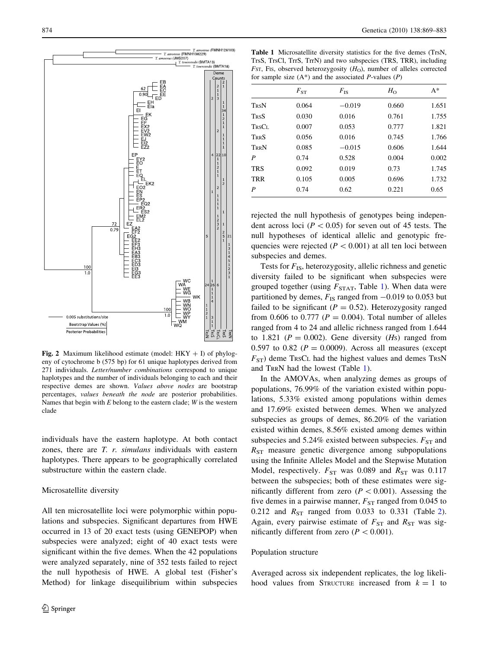<span id="page-5-0"></span>

Fig. 2 Maximum likelihood estimate (model:  $HKY + I$ ) of phylogeny of cytochrome b (575 bp) for 61 unique haplotypes derived from 271 individuals. Letter/number combinations correspond to unique haplotypes and the number of individuals belonging to each and their respective demes are shown. Values above nodes are bootstrap percentages, values beneath the node are posterior probabilities. Names that begin with  $E$  belong to the eastern clade;  $W$  is the western clade

individuals have the eastern haplotype. At both contact zones, there are T. r. simulans individuals with eastern haplotypes. There appears to be geographically correlated substructure within the eastern clade.

#### Microsatellite diversity

All ten microsatellite loci were polymorphic within populations and subspecies. Significant departures from HWE occurred in 13 of 20 exact tests (using GENEPOP) when subspecies were analyzed; eight of 40 exact tests were significant within the five demes. When the 42 populations were analyzed separately, nine of 352 tests failed to reject the null hypothesis of HWE. A global test (Fisher's Method) for linkage disequilibrium within subspecies

Table 1 Microsatellite diversity statistics for the five demes (TrsN, TrsS, TrsCl, TrrS, TrrN) and two subspecies (TRS, TRR), including Fst, Fis, observed heterozygosity  $(H<sub>O</sub>)$ , number of alleles corrected for sample size  $(A^*)$  and the associated P-values  $(P)$ 

|                  | $F_{ST}$ | $F_{\rm IS}$ | $H_{\rm O}$ | $A^*$ |
|------------------|----------|--------------|-------------|-------|
| TRSN             | 0.064    | $-0.019$     | 0.660       | 1.651 |
| TrsS             | 0.030    | 0.016        | 0.761       | 1.755 |
| TRSCL            | 0.007    | 0.053        | 0.777       | 1.821 |
| TRRS             | 0.056    | 0.016        | 0.745       | 1.766 |
| TRRN             | 0.085    | $-0.015$     | 0.606       | 1.644 |
| P                | 0.74     | 0.528        | 0.004       | 0.002 |
| <b>TRS</b>       | 0.092    | 0.019        | 0.73        | 1.745 |
| <b>TRR</b>       | 0.105    | 0.005        | 0.696       | 1.732 |
| $\boldsymbol{P}$ | 0.74     | 0.62         | 0.221       | 0.65  |

rejected the null hypothesis of genotypes being independent across loci ( $P < 0.05$ ) for seven out of 45 tests. The null hypotheses of identical allelic and genotypic frequencies were rejected ( $P < 0.001$ ) at all ten loci between subspecies and demes.

Tests for  $F_{IS}$ , heterozygosity, allelic richness and genetic diversity failed to be significant when subspecies were grouped together (using  $F_{\text{STAT}}$ , Table 1). When data were partitioned by demes,  $F_{IS}$  ranged from  $-0.019$  to 0.053 but failed to be significant ( $P = 0.52$ ). Heterozygosity ranged from 0.606 to 0.777 ( $P = 0.004$ ). Total number of alleles ranged from 4 to 24 and allelic richness ranged from 1.644 to 1.821 ( $P = 0.002$ ). Gene diversity ( $Hs$ ) ranged from 0.597 to 0.82 ( $P = 0.0009$ ). Across all measures (except  $F_{ST}$ ) deme TrsCL had the highest values and demes TrsN and TRRN had the lowest (Table 1).

In the AMOVAs, when analyzing demes as groups of populations, 76.99% of the variation existed within populations, 5.33% existed among populations within demes and 17.69% existed between demes. When we analyzed subspecies as groups of demes, 86.20% of the variation existed within demes, 8.56% existed among demes within subspecies and 5.24% existed between subspecies.  $F_{ST}$  and  $R_{ST}$  measure genetic divergence among subpopulations using the Infinite Alleles Model and the Stepwise Mutation Model, respectively.  $F_{ST}$  was 0.089 and  $R_{ST}$  was 0.117 between the subspecies; both of these estimates were significantly different from zero ( $P \lt 0.001$ ). Assessing the five demes in a pairwise manner,  $F_{ST}$  ranged from 0.045 to 0.[2](#page-6-0)12 and  $R_{ST}$  ranged from 0.033 to 0.331 (Table 2). Again, every pairwise estimate of  $F_{ST}$  and  $R_{ST}$  was significantly different from zero ( $P < 0.001$ ).

#### Population structure

Averaged across six independent replicates, the log likelihood values from STRUCTURE increased from  $k = 1$  to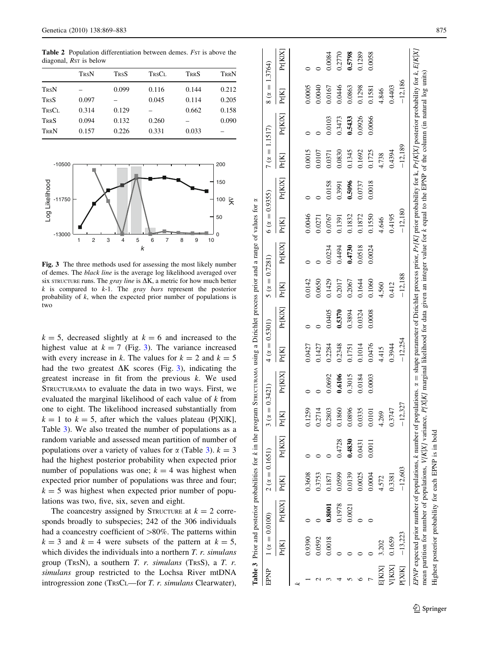<span id="page-6-0"></span>Table 2 Population differentiation between demes. FsT is above the diagonal, RST is below

|       | TRSN  | TrsS  | TRSCL | TRRS  | TRRN  |
|-------|-------|-------|-------|-------|-------|
| TRSN  |       | 0.099 | 0.116 | 0.144 | 0.212 |
| TRSS  | 0.097 |       | 0.045 | 0.114 | 0.205 |
| TRSCL | 0.314 | 0.129 |       | 0.662 | 0.158 |
| TRRS  | 0.094 | 0.132 | 0.260 |       | 0.090 |
| TRRN  | 0.157 | 0.226 | 0.331 | 0.033 |       |



Fig. 3 The three methods used for assessing the most likely number of demes. The black line is the average log likelihood averaged over six STRUCTURE runs. The gray line is  $\Delta K$ , a metric for how much better  $k$  is compared to  $k-1$ . The *gray bars* represent the posterior probability of k, when the expected prior number of populations is two

 $k = 5$ , decreased slightly at  $k = 6$  and increased to the highest value at  $k = 7$  (Fig. 3). The variance increased with every increase in k. The values for  $k = 2$  and  $k = 5$ had the two greatest  $\Delta K$  scores (Fig. 3), indicating the greatest increase in fit from the previous k. We used STRUCTURAMA to evaluate the data in two ways. First, we evaluated the marginal likelihood of each value of  $k$  from one to eight. The likelihood increased substantially from  $k = 1$  to  $k = 5$ , after which the values plateau (P[X|K], Table 3). We also treated the number of populations as a random variable and assessed mean partition of number of populations over a variety of values for  $\alpha$  (Table 3).  $k = 3$ had the highest posterior probability when expected prior number of populations was one;  $k = 4$  was highest when expected prior number of populations was three and four;  $k = 5$  was highest when expected prior number of populations was two, five, six, seven and eight.

The coancestry assigned by STRUCTURE at  $k = 2$  corresponds broadly to subspecies; 242 of the 306 individuals had a coancestry coefficient of >80%. The patterns within  $k = 3$  and  $k = 4$  were subsets of the pattern at  $k = 5$ , which divides the individuals into a northern T. r. simulans group (TRSN), a southern  $T$ .  $r$ . simulans (TRSS), a  $T$ .  $r$ . simulans group restricted to the Lochsa River mtDNA introgression zone (TRSCL-for T. r. simulans Clearwater),

| EPNP          | $1(\alpha = 0.0100)$ |         | $2(\alpha = 0.1651)$ |                                                                                                                                                                                                       | $3(\alpha = 0.3421)$ |         | $4(\alpha = 0.5301)$ |         | $5(\alpha = 0.7281)$ |         | $6(\alpha = 0.9355)$ |         | $7(\alpha = 1.1517)$ |        | $8(\alpha = 1.3764)$ |        |
|---------------|----------------------|---------|----------------------|-------------------------------------------------------------------------------------------------------------------------------------------------------------------------------------------------------|----------------------|---------|----------------------|---------|----------------------|---------|----------------------|---------|----------------------|--------|----------------------|--------|
|               | Pr[K]                | Pr[K X] | Pr[K]                | Pr[K X]                                                                                                                                                                                               | Pr[K]                | Pr[K X] | Pr[K]                | Pr[K X] | Pr[K]                | Pr[K X] | Pr[K]                | Pr[KIX] | Pr[K]                | Pr[KX] | Pr[K]                | Pr[KX] |
|               |                      |         |                      |                                                                                                                                                                                                       |                      |         |                      |         |                      |         |                      |         |                      |        |                      |        |
|               | 0.9390               |         | 0.3608               |                                                                                                                                                                                                       | 0.1259               |         | 0.0427               |         | 0.0142               |         | 0.0046               |         | 0.0015               |        | 0.0005               |        |
|               | 0.0592               |         | 0.3753               |                                                                                                                                                                                                       | 0.2714               |         | 0.1427               |         | 0.0650               |         | 0.0271               |         | 0.0107               |        | 0.0040               |        |
|               | 0.0018               | 0.8001  | 0.1871               |                                                                                                                                                                                                       | 0.2803               | 0.0692  | 0.2284               | 0.0405  | 0.1429               | 0.0234  | 0.0767               | 0.0158  | 0.0371               | 0.0103 | 0.0167               | 0.0084 |
|               |                      | 0.1978  | 0.0599               | 0.4728                                                                                                                                                                                                | 0.1860               | 0.6106  | 0.2348               | 0.5370  | 0.2017               | 0.4494  | 0.1391               | 0.3991  | 0.0830               | 0.3473 | 0.0446               | 0.2770 |
|               |                      | 0.0021  | 0.0139               | 0.4830                                                                                                                                                                                                | 0.0896               | 0.3015  | 0.1751               | 0.3894  | 0.2067               | 0.4730  | 0.1832               | 0.5096  | 0.1345               | 0.5433 | 0.0863               | 0.5798 |
|               |                      |         | 0.0025               | 0.0431                                                                                                                                                                                                | 0.0335               | 0.0184  | 0.1014               | 0.0324  | 0.1644               | 0.0518  | 0.1872               | 0.0737  | 0.1692               | 0.0926 | 0.1298               | 0.1289 |
|               |                      |         | 0.0004               | 0.0011                                                                                                                                                                                                | 0.0101               | 0.0003  | 0.0476               | 0.0008  | 0.1060               | 0.0024  | 0.1550               | 0.0018  | 0.1725               | 0.0066 | 0.1581               | 0.0058 |
| E[K X]        | 3.202                |         | 4.572                |                                                                                                                                                                                                       | 4.269                |         | 4.415                |         | 4.560                |         | 4.646                |         | 1.738                |        | 4.846                |        |
| V[KIX]        | 0.1659               |         | 0.3381               |                                                                                                                                                                                                       | 0.3747               |         | 0.3944               |         | 0.412                |         | 0.4195               |         | 0.4394               |        | 0.4403               |        |
| <b>P[XIK]</b> | $-13,223$            |         | $-12,603$            |                                                                                                                                                                                                       | 2,327<br>Ī           |         | $-12,254$            |         | $-12,188$            |         | $-12,180$            |         | $-12,189$            |        | $-12,186$            |        |
|               |                      |         |                      | EPNP expected prior number of populations, k number of populations. $\alpha =$ shape parameter of Dirichlet process prior, Pr/K/ prior probability for k, Pr/K/X/ posterior probability for k, E/K/X/ |                      |         |                      |         |                      |         |                      |         |                      |        |                      |        |
|               |                      |         |                      | mean partition for number of populations, V/K/X/ variance, P/X/K/ marginal likelihood for data given an integer value for k equal to the EPNP of the column (in natural log units)                    |                      |         |                      |         |                      |         |                      |         |                      |        |                      |        |
|               |                      |         |                      | Highest posterior probability for each EPNP is in bold                                                                                                                                                |                      |         |                      |         |                      |         |                      |         |                      |        |                      |        |

Table 3 Prior and posterior probabilities for k in the program STRUCTURAMA using a Dirichlet process prior and a range of values for a

and posterior probabilities 1

Prior

Table 3

for k in the program STRUCTURAMA using a Dirichlet process prior and a range of values for  $\alpha$ 

 $\sim$ 

<sup>2</sup> Springer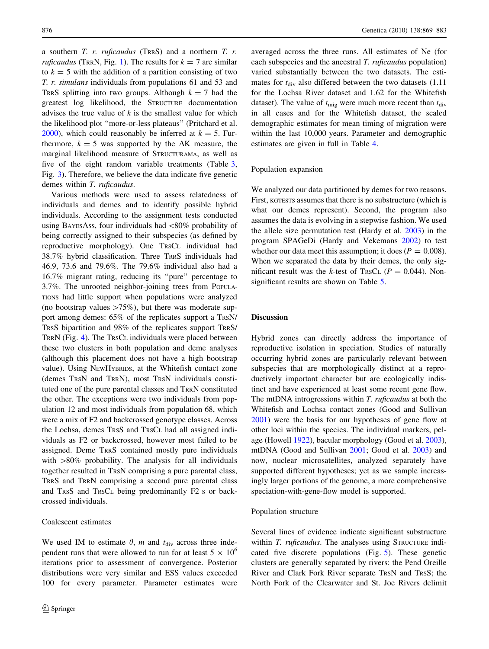a southern  $T$ .  $r$ . *ruficaudus* (TRRS) and a northern  $T$ .  $r$ . *ruficaudus* (TRRN, Fig. [1\)](#page-2-0). The results for  $k = 7$  are similar to  $k = 5$  with the addition of a partition consisting of two T. r. simulans individuals from populations 61 and 53 and TRRS splitting into two groups. Although  $k = 7$  had the greatest log likelihood, the STRUCTURE documentation advises the true value of  $k$  is the smallest value for which the likelihood plot ''more-or-less plateaus'' (Pritchard et al. [2000\)](#page-14-0), which could reasonably be inferred at  $k = 5$ . Furthermore,  $k = 5$  was supported by the  $\Delta K$  measure, the marginal likelihood measure of STRUCTURAMA, as well as five of the eight random variable treatments (Table [3,](#page-6-0) Fig. [3](#page-6-0)). Therefore, we believe the data indicate five genetic demes within T. ruficaudus.

Various methods were used to assess relatedness of individuals and demes and to identify possible hybrid individuals. According to the assignment tests conducted using BAYESASS, four individuals had\80% probability of being correctly assigned to their subspecies (as defined by reproductive morphology). One TRSCL individual had 38.7% hybrid classification. Three TRRS individuals had 46.9, 73.6 and 79.6%. The 79.6% individual also had a 16.7% migrant rating, reducing its ''pure'' percentage to 3.7%. The unrooted neighbor-joining trees from POPULA-TIONS had little support when populations were analyzed (no bootstrap values  $>75\%$ ), but there was moderate support among demes: 65% of the replicates support a TRSN/ TRSS bipartition and 98% of the replicates support TRRS/ TRRN (Fig. [4\)](#page-8-0). The TRSCL individuals were placed between these two clusters in both population and deme analyses (although this placement does not have a high bootstrap value). Using NEWHYBRIDS, at the Whitefish contact zone (demes TRSN and TRRN), most TRSN individuals constituted one of the pure parental classes and TRRN constituted the other. The exceptions were two individuals from population 12 and most individuals from population 68, which were a mix of F2 and backcrossed genotype classes. Across the Lochsa, demes TRSS and TRSCL had all assigned individuals as F2 or backcrossed, however most failed to be assigned. Deme TRRS contained mostly pure individuals with  $>80\%$  probability. The analysis for all individuals together resulted in TRSN comprising a pure parental class, TRRS and TRRN comprising a second pure parental class and TRSS and TRSCL being predominantly F2 s or backcrossed individuals.

# Coalescent estimates

averaged across the three runs. All estimates of Ne (for each subspecies and the ancestral T. ruficaudus population) varied substantially between the two datasets. The estimates for  $t_{\text{div}}$  also differed between the two datasets (1.11) for the Lochsa River dataset and 1.62 for the Whitefish dataset). The value of  $t_{\text{mig}}$  were much more recent than  $t_{\text{div}}$ in all cases and for the Whitefish dataset, the scaled demographic estimates for mean timing of migration were within the last 10,000 years. Parameter and demographic estimates are given in full in Table [4.](#page-9-0)

## Population expansion

We analyzed our data partitioned by demes for two reasons. First, KGTESTS assumes that there is no substructure (which is what our demes represent). Second, the program also assumes the data is evolving in a stepwise fashion. We used the allele size permutation test (Hardy et al. [2003](#page-14-0)) in the program SPAGeDi (Hardy and Vekemans [2002](#page-14-0)) to test whether our data meet this assumption; it does ( $P = 0.008$ ). When we separated the data by their demes, the only significant result was the k-test of TrsCL ( $P = 0.044$ ). Nonsignificant results are shown on Table [5](#page-9-0).

# Discussion

Hybrid zones can directly address the importance of reproductive isolation in speciation. Studies of naturally occurring hybrid zones are particularly relevant between subspecies that are morphologically distinct at a reproductively important character but are ecologically indistinct and have experienced at least some recent gene flow. The mtDNA introgressions within T. ruficaudus at both the Whitefish and Lochsa contact zones (Good and Sullivan [2001](#page-13-0)) were the basis for our hypotheses of gene flow at other loci within the species. The individual markers, pelage (Howell [1922\)](#page-14-0), bacular morphology (Good et al. [2003](#page-13-0)), mtDNA (Good and Sullivan [2001](#page-13-0); Good et al. [2003\)](#page-13-0) and now, nuclear microsatellites, analyzed separately have supported different hypotheses; yet as we sample increasingly larger portions of the genome, a more comprehensive speciation-with-gene-flow model is supported.

#### Population structure

Several lines of evidence indicate significant substructure within T. *ruficaudus*. The analyses using STRUCTURE indicated five discrete populations (Fig. [5\)](#page-10-0). These genetic clusters are generally separated by rivers: the Pend Oreille River and Clark Fork River separate TRSN and TRSS; the North Fork of the Clearwater and St. Joe Rivers delimit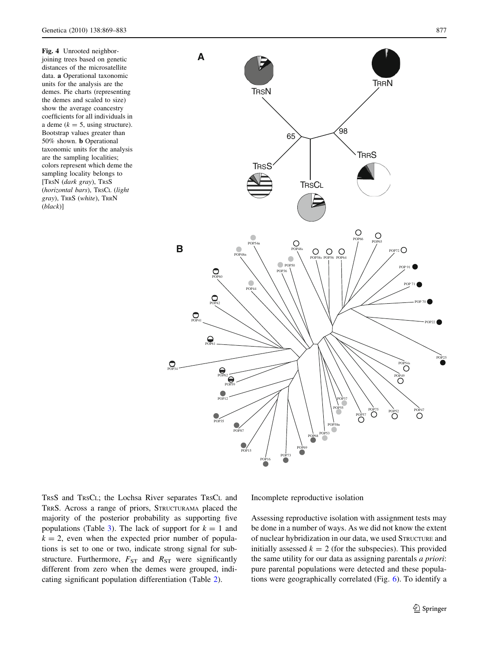<span id="page-8-0"></span>Fig. 4 Unrooted neighborjoining trees based on genetic distances of the microsatellite data. a Operational taxonomic units for the analysis are the demes. Pie charts (representing the demes and scaled to size) show the average coancestry coefficients for all individuals in a deme ( $k = 5$ , using structure). Bootstrap values greater than 50% shown. b Operational taxonomic units for the analysis are the sampling localities; colors represent which deme the sampling locality belongs to [TRSN (dark gray), TRSS (horizontal bars), TRSCL (light gray), TRRS (white), TRRN (black)]



TRSS and TRSCL; the Lochsa River separates TRSCL and TRRS. Across a range of priors, STRUCTURAMA placed the majority of the posterior probability as supporting five populations (Table [3](#page-6-0)). The lack of support for  $k = 1$  and  $k = 2$ , even when the expected prior number of populations is set to one or two, indicate strong signal for substructure. Furthermore,  $F_{ST}$  and  $R_{ST}$  were significantly different from zero when the demes were grouped, indicating significant population differentiation (Table [2](#page-6-0)).

Incomplete reproductive isolation

Assessing reproductive isolation with assignment tests may be done in a number of ways. As we did not know the extent of nuclear hybridization in our data, we used STRUCTURE and initially assessed  $k = 2$  (for the subspecies). This provided the same utility for our data as assigning parentals a priori: pure parental populations were detected and these populations were geographically correlated (Fig. [6](#page-11-0)). To identify a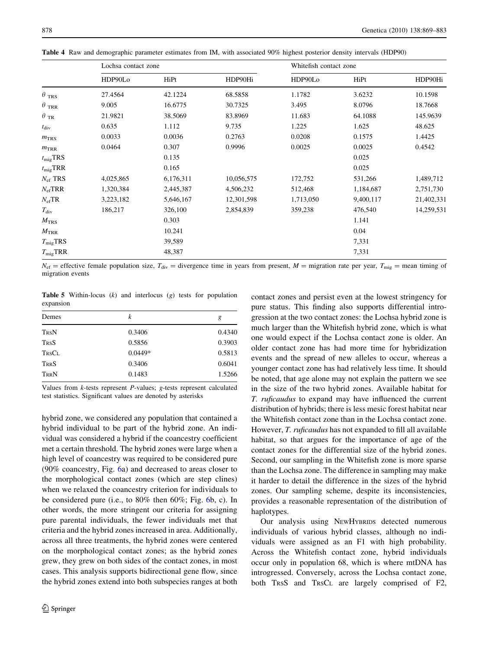|                    | Lochsa contact zone |           |            | Whitefish contact zone |           |            |
|--------------------|---------------------|-----------|------------|------------------------|-----------|------------|
|                    | HDP90Lo             | HiPt      | HDP90Hi    | HDP90Lo                | HiPt      | HDP90Hi    |
| $\theta$ TRS       | 27.4564             | 42.1224   | 68.5858    | 1.1782                 | 3.6232    | 10.1598    |
| $\theta$ TRR       | 9.005               | 16.6775   | 30.7325    | 3.495                  | 8.0796    | 18.7668    |
| $\theta$ TR        | 21.9821             | 38.5069   | 83.8969    | 11.683                 | 64.1088   | 145.9639   |
| $t_{\rm div}$      | 0.635               | 1.112     | 9.735      | 1.225                  | 1.625     | 48.625     |
| $m$ <sub>TRS</sub> | 0.0033              | 0.0036    | 0.2763     | 0.0208                 | 0.1575    | 1.4425     |
| $m_{\rm TRR}$      | 0.0464              | 0.307     | 0.9996     | 0.0025                 | 0.0025    | 0.4542     |
| $t_{\rm mig}$ TRS  |                     | 0.135     |            |                        | 0.025     |            |
| $t_{\rm mig}$ TRR  |                     | 0.165     |            |                        | 0.025     |            |
| $N_{\rm ef}$ TRS   | 4,025,865           | 6,176,311 | 10,056,575 | 172,752                | 531,266   | 1,489,712  |
| $N_{\rm ef}$ TRR   | 1,320,384           | 2,445,387 | 4,506,232  | 512,468                | 1,184,687 | 2,751,730  |
| $N_{\rm ef}$ TR    | 3,223,182           | 5,646,167 | 12,301,598 | 1,713,050              | 9,400,117 | 21,402,331 |
| $T_{\rm div}$      | 186,217             | 326,100   | 2,854,839  | 359,238                | 476,540   | 14,259,531 |
| $M_{\mathrm{TRS}}$ |                     | 0.303     |            |                        | 1.141     |            |
| $M_{\rm TRR}$      |                     | 10.241    |            |                        | 0.04      |            |
| $T_{\rm mig}$ TRS  |                     | 39,589    |            |                        | 7,331     |            |
| $T_{\rm mig}$ TRR  |                     | 48,387    |            |                        | 7,331     |            |

<span id="page-9-0"></span>Table 4 Raw and demographic parameter estimates from IM, with associated 90% highest posterior density intervals (HDP90)

 $N_{\text{ef}}$  = effective female population size,  $T_{\text{div}}$  = divergence time in years from present,  $M$  = migration rate per year,  $T_{\text{mig}}$  = mean timing of migration events

**Table 5** Within-locus  $(k)$  and interlocus  $(g)$  tests for population expansion

| Demes | k         | g      |
|-------|-----------|--------|
| TRSN  | 0.3406    | 0.4340 |
| TRSS  | 0.5856    | 0.3903 |
| TRSCL | $0.0449*$ | 0.5813 |
| TRRS  | 0.3406    | 0.6041 |
| TRRN  | 0.1483    | 1.5266 |

Values from  $k$ -tests represent  $P$ -values;  $g$ -tests represent calculated test statistics. Significant values are denoted by asterisks

hybrid zone, we considered any population that contained a hybrid individual to be part of the hybrid zone. An individual was considered a hybrid if the coancestry coefficient met a certain threshold. The hybrid zones were large when a high level of coancestry was required to be considered pure (90% coancestry, Fig. [6](#page-11-0)a) and decreased to areas closer to the morphological contact zones (which are step clines) when we relaxed the coancestry criterion for individuals to be considered pure (i.e., to 80% then 60%; Fig. [6](#page-11-0)b, c). In other words, the more stringent our criteria for assigning pure parental individuals, the fewer individuals met that criteria and the hybrid zones increased in area. Additionally, across all three treatments, the hybrid zones were centered on the morphological contact zones; as the hybrid zones grew, they grew on both sides of the contact zones, in most cases. This analysis supports bidirectional gene flow, since the hybrid zones extend into both subspecies ranges at both contact zones and persist even at the lowest stringency for pure status. This finding also supports differential introgression at the two contact zones: the Lochsa hybrid zone is much larger than the Whitefish hybrid zone, which is what one would expect if the Lochsa contact zone is older. An older contact zone has had more time for hybridization events and the spread of new alleles to occur, whereas a younger contact zone has had relatively less time. It should be noted, that age alone may not explain the pattern we see in the size of the two hybrid zones. Available habitat for T. ruficaudus to expand may have influenced the current distribution of hybrids; there is less mesic forest habitat near the Whitefish contact zone than in the Lochsa contact zone. However, T. ruficaudus has not expanded to fill all available habitat, so that argues for the importance of age of the contact zones for the differential size of the hybrid zones. Second, our sampling in the Whitefish zone is more sparse than the Lochsa zone. The difference in sampling may make it harder to detail the difference in the sizes of the hybrid zones. Our sampling scheme, despite its inconsistencies, provides a reasonable representation of the distribution of haplotypes.

Our analysis using NEWHYBRIDS detected numerous individuals of various hybrid classes, although no individuals were assigned as an F1 with high probability. Across the Whitefish contact zone, hybrid individuals occur only in population 68, which is where mtDNA has introgressed. Conversely, across the Lochsa contact zone, both TRSS and TRSCL are largely comprised of F2,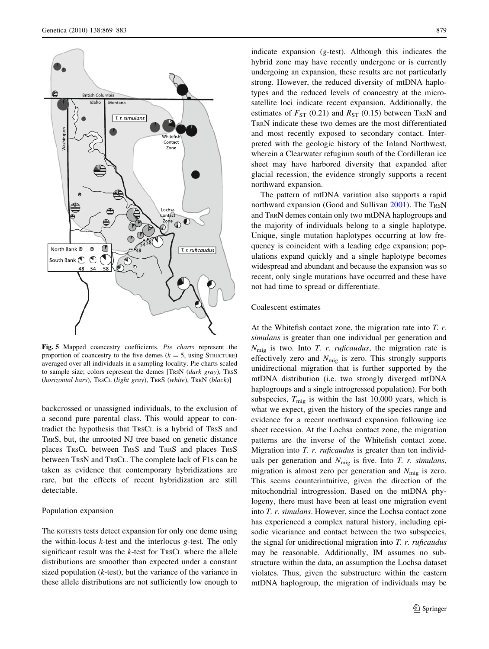<span id="page-10-0"></span>

Fig. 5 Mapped coancestry coefficients. Pie charts represent the proportion of coancestry to the five demes ( $k = 5$ , using STRUCTURE) averaged over all individuals in a sampling locality. Pie charts scaled to sample size; colors represent the demes [TRSN (dark gray), TRSS (horizontal bars), TRSCL (light gray), TRRS (white), TRRN (black)]

backcrossed or unassigned individuals, to the exclusion of a second pure parental class. This would appear to contradict the hypothesis that TRSCL is a hybrid of TRSS and TRRS, but, the unrooted NJ tree based on genetic distance places TRSCL between TRSS and TRRS and places TRSS between TRSN and TRSCL. The complete lack of F1s can be taken as evidence that contemporary hybridizations are rare, but the effects of recent hybridization are still detectable.

## Population expansion

The KGTESTS tests detect expansion for only one deme using the within-locus  $k$ -test and the interlocus  $g$ -test. The only significant result was the  $k$ -test for TRSCL where the allele distributions are smoother than expected under a constant sized population  $(k$ -test), but the variance of the variance in these allele distributions are not sufficiently low enough to indicate expansion (g-test). Although this indicates the hybrid zone may have recently undergone or is currently undergoing an expansion, these results are not particularly strong. However, the reduced diversity of mtDNA haplotypes and the reduced levels of coancestry at the microsatellite loci indicate recent expansion. Additionally, the estimates of  $F_{ST}$  (0.21) and  $R_{ST}$  (0.15) between TRSN and TRRN indicate these two demes are the most differentiated and most recently exposed to secondary contact. Interpreted with the geologic history of the Inland Northwest, wherein a Clearwater refugium south of the Cordilleran ice sheet may have harbored diversity that expanded after glacial recession, the evidence strongly supports a recent northward expansion.

The pattern of mtDNA variation also supports a rapid northward expansion (Good and Sullivan [2001](#page-13-0)). The TRSN and TRRN demes contain only two mtDNA haplogroups and the majority of individuals belong to a single haplotype. Unique, single mutation haplotypes occurring at low frequency is coincident with a leading edge expansion; populations expand quickly and a single haplotype becomes widespread and abundant and because the expansion was so recent, only single mutations have occurred and these have not had time to spread or differentiate.

# Coalescent estimates

At the Whitefish contact zone, the migration rate into T. r. simulans is greater than one individual per generation and  $N_{\text{mig}}$  is two. Into *T. r. ruficaudus*, the migration rate is effectively zero and  $N_{\text{mig}}$  is zero. This strongly supports unidirectional migration that is further supported by the mtDNA distribution (i.e. two strongly diverged mtDNA haplogroups and a single introgressed population). For both subspecies,  $T_{\text{mig}}$  is within the last 10,000 years, which is what we expect, given the history of the species range and evidence for a recent northward expansion following ice sheet recession. At the Lochsa contact zone, the migration patterns are the inverse of the Whitefish contact zone. Migration into T. r. *ruficaudus* is greater than ten individuals per generation and  $N_{\text{mig}}$  is five. Into *T. r. simulans*, migration is almost zero per generation and  $N_{\text{mig}}$  is zero. This seems counterintuitive, given the direction of the mitochondrial introgression. Based on the mtDNA phylogeny, there must have been at least one migration event into T. r. simulans. However, since the Lochsa contact zone has experienced a complex natural history, including episodic vicariance and contact between the two subspecies, the signal for unidirectional migration into  $T$ .  $r$ . *ruficaudus* may be reasonable. Additionally, IM assumes no substructure within the data, an assumption the Lochsa dataset violates. Thus, given the substructure within the eastern mtDNA haplogroup, the migration of individuals may be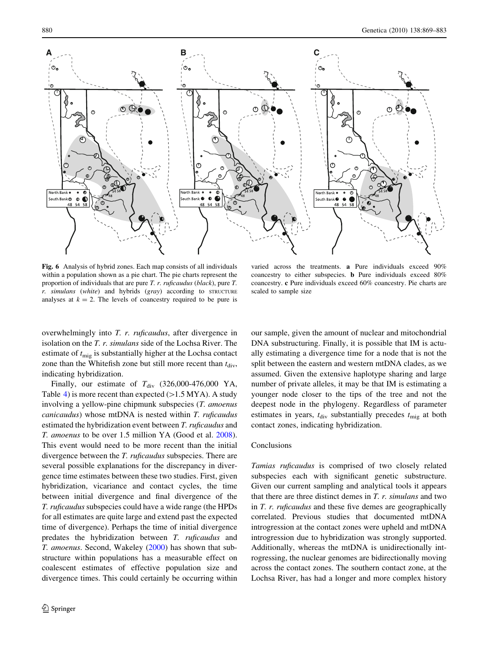<span id="page-11-0"></span>

Fig. 6 Analysis of hybrid zones. Each map consists of all individuals within a population shown as a pie chart. The pie charts represent the proportion of individuals that are pure T. r. ruficaudus (black), pure T. r. simulans (white) and hybrids (gray) according to STRUCTURE analyses at  $k = 2$ . The levels of coancestry required to be pure is

varied across the treatments. a Pure individuals exceed 90% coancestry to either subspecies. b Pure individuals exceed 80% coancestry. c Pure individuals exceed 60% coancestry. Pie charts are scaled to sample size

overwhelmingly into T. r. ruficaudus, after divergence in isolation on the T. r. simulans side of the Lochsa River. The estimate of  $t_{\text{mig}}$  is substantially higher at the Lochsa contact zone than the Whitefish zone but still more recent than  $t_{\text{div}}$ , indicating hybridization.

Finally, our estimate of  $T_{div}$  (326,000-476,000 YA, Table [4](#page-9-0)) is more recent than expected  $(>1.5$  MYA). A study involving a yellow-pine chipmunk subspecies (T. amoenus canicaudus) whose mtDNA is nested within T. ruficaudus estimated the hybridization event between T. ruficaudus and T. amoenus to be over 1.5 million YA (Good et al. [2008](#page-13-0)). This event would need to be more recent than the initial divergence between the *T. ruficaudus* subspecies. There are several possible explanations for the discrepancy in divergence time estimates between these two studies. First, given hybridization, vicariance and contact cycles, the time between initial divergence and final divergence of the T. ruficaudus subspecies could have a wide range (the HPDs for all estimates are quite large and extend past the expected time of divergence). Perhaps the time of initial divergence predates the hybridization between T. ruficaudus and T. amoenus. Second, Wakeley [\(2000](#page-14-0)) has shown that substructure within populations has a measurable effect on coalescent estimates of effective population size and divergence times. This could certainly be occurring within our sample, given the amount of nuclear and mitochondrial DNA substructuring. Finally, it is possible that IM is actually estimating a divergence time for a node that is not the split between the eastern and western mtDNA clades, as we assumed. Given the extensive haplotype sharing and large number of private alleles, it may be that IM is estimating a younger node closer to the tips of the tree and not the deepest node in the phylogeny. Regardless of parameter estimates in years,  $t_{div}$  substantially precedes  $t_{mig}$  at both contact zones, indicating hybridization.

#### **Conclusions**

Tamias ruficaudus is comprised of two closely related subspecies each with significant genetic substructure. Given our current sampling and analytical tools it appears that there are three distinct demes in  $T$ .  $r$ . simulans and two in T. r. ruficaudus and these five demes are geographically correlated. Previous studies that documented mtDNA introgression at the contact zones were upheld and mtDNA introgression due to hybridization was strongly supported. Additionally, whereas the mtDNA is unidirectionally introgressing, the nuclear genomes are bidirectionally moving across the contact zones. The southern contact zone, at the Lochsa River, has had a longer and more complex history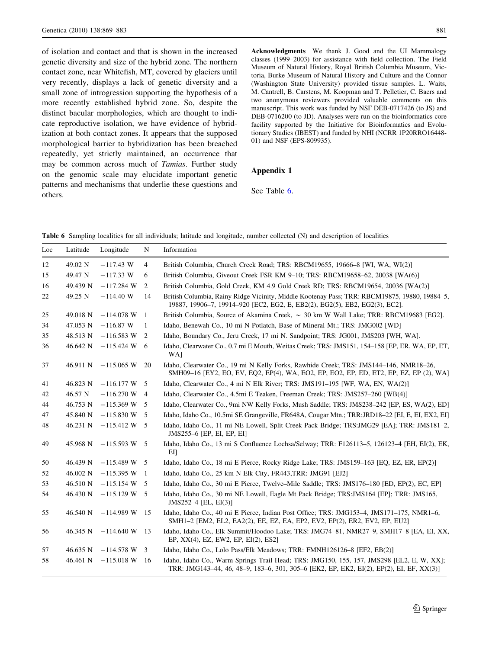<span id="page-12-0"></span>of isolation and contact and that is shown in the increased genetic diversity and size of the hybrid zone. The northern contact zone, near Whitefish, MT, covered by glaciers until very recently, displays a lack of genetic diversity and a small zone of introgression supporting the hypothesis of a more recently established hybrid zone. So, despite the distinct bacular morphologies, which are thought to indicate reproductive isolation, we have evidence of hybridization at both contact zones. It appears that the supposed morphological barrier to hybridization has been breached repeatedly, yet strictly maintained, an occurrence that may be common across much of Tamias. Further study on the genomic scale may elucidate important genetic patterns and mechanisms that underlie these questions and others.

Acknowledgments We thank J. Good and the UI Mammalogy classes (1999–2003) for assistance with field collection. The Field Museum of Natural History, Royal British Columbia Museum, Victoria, Burke Museum of Natural History and Culture and the Connor (Washington State University) provided tissue samples. L. Waits, M. Cantrell, B. Carstens, M. Koopman and T. Pelletier, C. Baers and two anonymous reviewers provided valuable comments on this manuscript. This work was funded by NSF DEB-0717426 (to JS) and DEB-0716200 (to JD). Analyses were run on the bioinformatics core facility supported by the Initiative for Bioinformatics and Evolutionary Studies (IBEST) and funded by NHI (NCRR 1P20RRO16448- 01) and NSF (EPS-809935).

## Appendix 1

See Table 6.

Table 6 Sampling localities for all individuals; latitude and longitude, number collected (N) and description of localities

| Loc | Latitude | Longitude       | N              | Information                                                                                                                                                                          |
|-----|----------|-----------------|----------------|--------------------------------------------------------------------------------------------------------------------------------------------------------------------------------------|
| 12  | 49.02 N  | $-117.43$ W     | $\overline{4}$ | British Columbia, Church Creek Road; TRS: RBCM19655, 19666–8 [WI, WA, WI(2)]                                                                                                         |
| 15  | 49.47 N  | $-117.33$ W     | 6              | British Columbia, Giveout Creek FSR KM 9-10; TRS: RBCM19658-62, 20038 [WA(6)]                                                                                                        |
| 16  | 49.439 N | $-117.284$ W    | 2              | British Columbia, Gold Creek, KM 4.9 Gold Creek RD; TRS: RBCM19654, 20036 [WA(2)]                                                                                                    |
| 22  | 49.25 N  | $-114.40 W$     | 14             | British Columbia, Rainy Ridge Vicinity, Middle Kootenay Pass; TRR: RBCM19875, 19880, 19884-5,<br>19887, 19906–7, 19914–920 [EC2, EG2, E, EB2(2), EG2(5), EB2, EG2(3), EC2].          |
| 25  | 49.018 N | $-114.078$ W 1  |                | British Columbia, Source of Akamina Creek, $\sim$ 30 km W Wall Lake; TRR: RBCM19683 [EG2].                                                                                           |
| 34  | 47.053 N | $-116.87$ W     | 1              | Idaho, Benewah Co., 10 mi N Potlatch, Base of Mineral Mt.; TRS: JMG002 [WD]                                                                                                          |
| 35  | 48.513 N | $-116.583 W$    | 2              | Idaho, Boundary Co., Jeru Creek, 17 mi N. Sandpoint; TRS: JG001, JMS203 [WH, WA].                                                                                                    |
| 36  | 46.642 N | $-115.424$ W    | 6              | Idaho, Clearwater Co., 0.7 mi E Mouth, Weitas Creek; TRS: JMS151, 154–158 [EP, ER, WA, EP, ET,<br>WA1                                                                                |
| 37  | 46.911 N | $-115.065$ W    | -20            | Idaho, Clearwater Co., 19 mi N Kelly Forks, Rawhide Creek; TRS: JMS144-146, NMR18-26,<br>SMH09-16 [EY2, EO, EV, EQ2, EP(4), WA, EO2, EP, EO2, EP, ED, ET2, EP, EZ, EP (2), WA]       |
| 41  | 46.823 N | $-116.177$ W 5  |                | Idaho, Clearwater Co., 4 mi N Elk River; TRS: JMS191-195 [WF, WA, EN, WA(2)]                                                                                                         |
| 42  | 46.57 N  | $-116.270 W$ 4  |                | Idaho, Clearwater Co., 4.5mi E Teaken, Freeman Creek; TRS: JMS257-260 [WB(4)]                                                                                                        |
| 44  | 46.753 N | $-115.369$ W    | .5             | Idaho, Clearwater Co., 9mi NW Kelly Forks, Mush Saddle; TRS: JMS238-242 [EP, ES, WA(2), ED]                                                                                          |
| 47  | 45.840 N | $-115.830 W$ 5  |                | Idaho, Idaho Co., 10.5mi SE Grangeville, FR648A, Cougar Mtn.; TRR:JRD18-22 [EI, E, EI, EX2, EI]                                                                                      |
| 48  | 46.231 N | $-115.412 W$ 5  |                | Idaho, Idaho Co., 11 mi NE Lowell, Split Creek Pack Bridge; TRS:JMG29 [EA]; TRR: JMS181-2,<br>JMS255-6 [EP, EI, EP, EI]                                                              |
| 49  | 45.968 N | $-115.593 W$ 5  |                | Idaho, Idaho Co., 13 mi S Confluence Lochsa/Selway; TRR: F126113–5, 126123–4 [EH, EI(2), EK,<br>EП                                                                                   |
| 50  | 46.439 N | $-115.489 W$ 5  |                | Idaho, Idaho Co., 18 mi E Pierce, Rocky Ridge Lake; TRS: JMS159-163 [EQ, EZ, ER, EP(2)]                                                                                              |
| 52  | 46.002 N | $-115.395 W$ 1  |                | Idaho, Idaho Co., 25 km N Elk City, FR443, TRR: JMG91 [EJ2]                                                                                                                          |
| 53  | 46.510 N | $-115.154 W$ 5  |                | Idaho, Idaho Co., 30 mi E Pierce, Twelve-Mile Saddle; TRS: JMS176-180 [ED, EP(2), EC, EP]                                                                                            |
| 54  | 46.430 N | $-115.129 W$ 5  |                | Idaho, Idaho Co., 30 mi NE Lowell, Eagle Mt Pack Bridge; TRS:JMS164 [EP]; TRR: JMS165,<br>JMS252-4 [EL, EI(3)]                                                                       |
| 55  | 46.540 N | $-114.989 W$ 15 |                | Idaho, Idaho Co., 40 mi E Pierce, Indian Post Office; TRS: JMG153-4, JMS171-175, NMR1-6,<br>SMH1-2 [EM2, EL2, EA2(2), EE, EZ, EA, EP2, EV2, EP(2), ER2, EV2, EP, EU2]                |
| 56  | 46.345 N | $-114.640 W$    | - 13           | Idaho, Idaho Co., Elk Summit/Hoodoo Lake; TRS: JMG74-81, NMR27-9, SMH17-8 [EA, EI, XX,<br>EP, XX(4), EZ, EW2, EP, EI(2), ES2]                                                        |
| 57  | 46.635 N | $-114.578 W$ 3  |                | Idaho, Idaho Co., Lolo Pass/Elk Meadows; TRR: FMNH126126-8 [EF2, EB(2)]                                                                                                              |
| 58  | 46.461 N | $-115.018$ W    | - 16           | Idaho, Idaho Co., Warm Springs Trail Head; TRS: JMG150, 155, 157, JMS298 [EL2, E, W, XX];<br>TRR: JMG143-44, 46, 48-9, 183-6, 301, 305-6 [EK2, EP, EK2, EI(2), EP(2), EI, EF, XX(3)] |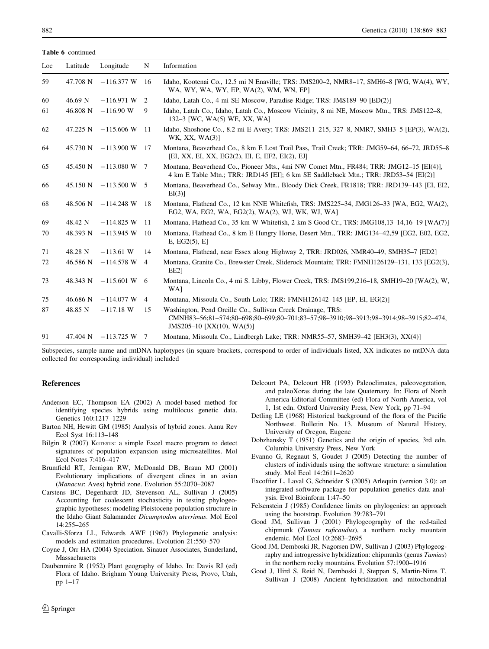<span id="page-13-0"></span>Table 6 continued

| Loc | Latitude | Longitude      | N              | Information                                                                                                                                                                     |
|-----|----------|----------------|----------------|---------------------------------------------------------------------------------------------------------------------------------------------------------------------------------|
| 59  | 47.708 N | $-116.377$ W   | - 16           | Idaho, Kootenai Co., 12.5 mi N Enaville; TRS: JMS200-2, NMR8-17, SMH6-8 [WG, WA(4), WY,<br>WA, WY, WA, WY, EP, WA(2), WM, WN, EP]                                               |
| 60  | 46.69 N  | $-116.971 W$   | 2              | Idaho, Latah Co., 4 mi SE Moscow, Paradise Ridge; TRS: JMS189-90 [ED(2)]                                                                                                        |
| 61  | 46.808 N | $-116.90 W$    | 9              | Idaho, Latah Co., Idaho, Latah Co., Moscow Vicinity, 8 mi NE, Moscow Mtn., TRS: JMS122–8,<br>132–3 [WC, WA(5) WE, XX, WA]                                                       |
| 62  | 47.225 N | $-115.606$ W   | -11            | Idaho, Shoshone Co., 8.2 mi E Avery; TRS: JMS211-215, 327-8, NMR7, SMH3-5 [EP(3), WA(2),<br>WK, XX, WA(3)]                                                                      |
| 64  | 45.730 N | $-113.900 W$   | -17            | Montana, Beaverhead Co., 8 km E Lost Trail Pass, Trail Creek; TRR: JMG59-64, 66-72, JRD55-8<br>[EI, XX, EI, XX, EG2(2), EI, E, EF2, EI(2), EJ]                                  |
| 65  | 45.450 N | $-113.080 W$   | -7             | Montana, Beaverhead Co., Pioneer Mts., 4mi NW Comet Mtn., FR484; TRR: JMG12-15 [EI(4)],<br>4 km E Table Mtn.; TRR: JRD145 [EI]; 6 km SE Saddleback Mtn.; TRR: JRD53–54 [EI(2)]  |
| 66  | 45.150 N | $-113.500 W$ 5 |                | Montana, Beaverhead Co., Selway Mtn., Bloody Dick Creek, FR1818; TRR: JRD139-143 [EI, EI2,<br>$EI(3)$ ]                                                                         |
| 68  | 48.506 N | $-114.248$ W   | -18            | Montana, Flathead Co., 12 km NNE Whitefish, TRS: JMS225-34, JMG126-33 [WA, EG2, WA(2),<br>EG2, WA, EG2, WA, EG2(2), WA(2), WJ, WK, WJ, WA]                                      |
| 69  | 48.42 N  | $-114.825$ W   | -11            | Montana, Flathead Co., 35 km W Whitefish, 2 km S Good Cr., TRS: JMG108,13-14,16-19 [WA(7)]                                                                                      |
| 70  | 48.393 N | $-113.945$ W   | -10            | Montana, Flathead Co., 8 km E Hungry Horse, Desert Mtn., TRR: JMG134-42,59 [EG2, E02, EG2,<br>$E, EG2(5), E$ ]                                                                  |
| 71  | 48.28 N  | $-113.61 W$    | 14             | Montana, Flathead, near Essex along Highway 2, TRR: JRD026, NMR40–49, SMH35–7 [ED2]                                                                                             |
| 72  | 46.586 N | $-114.578 W$   | $\overline{4}$ | Montana, Granite Co., Brewster Creek, Sliderock Mountain; TRR: FMNH126129-131, 133 [EG2(3),<br>EE2]                                                                             |
| 73  | 48.343 N | $-115.601 W$ 6 |                | Montana, Lincoln Co., 4 mi S. Libby, Flower Creek, TRS: JMS199,216–18, SMH19–20 [WA(2), W,<br>WA1                                                                               |
| 75  | 46.686 N | $-114.077$ W   | $\overline{4}$ | Montana, Missoula Co., South Lolo; TRR: FMNH126142-145 [EP, EI, EG(2)]                                                                                                          |
| 87  | 48.85 N  | $-117.18$ W    | 15             | Washington, Pend Oreille Co., Sullivan Creek Drainage, TRS:<br>CMNH83-56;81-574;80-698;80-699;80-701;83-57;98-3910;98-3913;98-3914;98-3915;82-474,<br>JMS205-10 [XX(10), WA(5)] |
| 91  | 47.404 N | $-113.725$ W 7 |                | Montana, Missoula Co., Lindbergh Lake; TRR: NMR55–57, SMH39–42 [EH3(3), XX(4)]                                                                                                  |

Subspecies, sample name and mtDNA haplotypes (in square brackets, correspond to order of individuals listed, XX indicates no mtDNA data collected for corresponding individual) included

# References

- Anderson EC, Thompson EA (2002) A model-based method for identifying species hybrids using multilocus genetic data. Genetics 160:1217–1229
- Barton NH, Hewitt GM (1985) Analysis of hybrid zones. Annu Rev Ecol Syst 16:113–148
- Bilgin R (2007) KGTESTS: a simple Excel macro program to detect signatures of population expansion using microsatellites. Mol Ecol Notes 7:416–417
- Brumfield RT, Jernigan RW, McDonald DB, Braun MJ (2001) Evolutionary implications of divergent clines in an avian (Manacus: Aves) hybrid zone. Evolution 55:2070–2087
- Carstens BC, Degenhardt JD, Stevenson AL, Sullivan J (2005) Accounting for coalescent stochasticity in testing phylogeographic hypotheses: modeling Pleistocene population structure in the Idaho Giant Salamander Dicamptodon aterrimus. Mol Ecol 14:255–265
- Cavalli-Sforza LL, Edwards AWF (1967) Phylogenetic analysis: models and estimation procedures. Evolution 21:550–570
- Coyne J, Orr HA (2004) Speciation. Sinauer Associates, Sunderland, Massachusetts
- Daubenmire R (1952) Plant geography of Idaho. In: Davis RJ (ed) Flora of Idaho. Brigham Young University Press, Provo, Utah, pp 1–17
- Delcourt PA, Delcourt HR (1993) Paleoclimates, paleovegetation, and paleoXoras during the late Quaternary. In: Flora of North America Editorial Committee (ed) Flora of North America, vol 1, 1st edn. Oxford University Press, New York, pp 71–94
- Detling LE (1968) Historical background of the flora of the Pacific Northwest. Bulletin No. 13. Museum of Natural History, University of Oregon, Eugene
- Dobzhansky T (1951) Genetics and the origin of species, 3rd edn. Columbia University Press, New York
- Evanno G, Regnaut S, Goudet J (2005) Detecting the number of clusters of individuals using the software structure: a simulation study. Mol Ecol 14:2611–2620
- Excoffier L, Laval G, Schneider S (2005) Arlequin (version 3.0): an integrated software package for population genetics data analysis. Evol Bioinform 1:47–50
- Felsenstein J (1985) Confidence limits on phylogenies: an approach using the bootstrap. Evolution 39:783–791
- Good JM, Sullivan J (2001) Phylogeography of the red-tailed chipmunk (Tamias ruficaudus), a northern rocky mountain endemic. Mol Ecol 10:2683–2695
- Good JM, Demboski JR, Nagorsen DW, Sullivan J (2003) Phylogeography and introgressive hybridization: chipmunks (genus Tamias) in the northern rocky mountains. Evolution 57:1900–1916
- Good J, Hird S, Reid N, Demboski J, Steppan S, Martin-Nims T, Sullivan J (2008) Ancient hybridization and mitochondrial